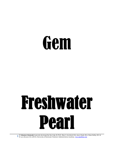### **Gem**

## Freshwater Pearl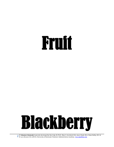### Fruit



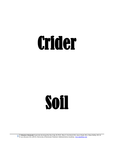### Crider

### Soil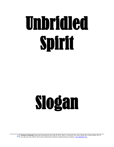# Unbridled Spirit

## Slogan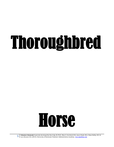## Thoroughbred

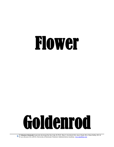### Flower

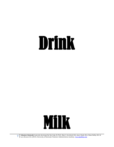### Drink

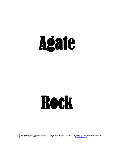## Agate

### Rock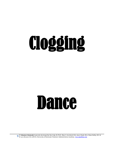# Clogging

#### **Dance**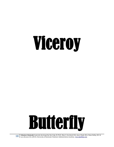## Viceroy

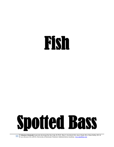### Fish

### Spotted Bass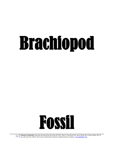# Brachiopod

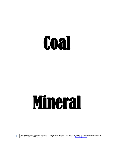### Coal

### Mineral